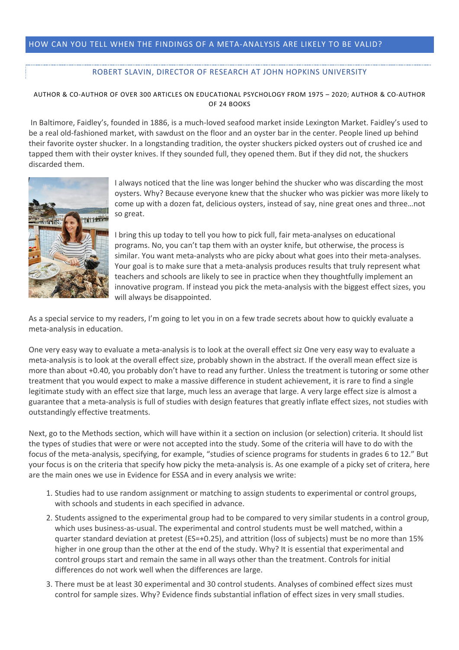## HOW CAN YOU TELL WHEN THE FINDINGS OF A META-ANALYSIS ARE LIKELY TO BE VALID?

## ROBERT SLAVIN, DIRECTOR OF RESEARCH AT JOHN HOPKINS UNIVERSITY

## AUTHOR & CO-AUTHOR OF OVER 300 ARTICLES ON EDUCATIONAL PSYCHOLOGY FROM 1975 – 2020; AUTHOR & CO-AUTHOR OF 24 BOOKS

In Baltimore, Faidley's, founded in 1886, is a much-loved seafood market inside Lexington Market. Faidley's used to be a real old-fashioned market, with sawdust on the floor and an oyster bar in the center. People lined up behind their favorite oyster shucker. In a longstanding tradition, the oyster shuckers picked oysters out of crushed ice and tapped them with their oyster knives. If they sounded full, they opened them. But if they did not, the shuckers discarded them.



I always noticed that the line was longer behind the shucker who was discarding the most oysters. Why? Because everyone knew that the shucker who was pickier was more likely to come up with a dozen fat, delicious oysters, instead of say, nine great ones and three…not so great.

I bring this up today to tell you how to pick full, fair meta-analyses on educational programs. No, you can't tap them with an oyster knife, but otherwise, the process is similar. You want meta-analysts who are picky about what goes into their meta-analyses. Your goal is to make sure that a meta-analysis produces results that truly represent what teachers and schools are likely to see in practice when they thoughtfully implement an innovative program. If instead you pick the meta-analysis with the biggest effect sizes, you will always be disappointed.

As a special service to my readers, I'm going to let you in on a few trade secrets about how to quickly evaluate a meta-analysis in education.

One very easy way to evaluate a meta-analysis is to look at the overall effect siz One very easy way to evaluate a meta-analysis is to look at the overall effect size, probably shown in the abstract. If the overall mean effect size is more than about +0.40, you probably don't have to read any further. Unless the treatment is tutoring or some other treatment that you would expect to make a massive difference in student achievement, it is rare to find a single legitimate study with an effect size that large, much less an average that large. A very large effect size is almost a guarantee that a meta-analysis is full of studies with design features that greatly inflate effect sizes, not studies with outstandingly effective treatments.

Next, go to the Methods section, which will have within it a section on inclusion (or selection) criteria. It should list the types of studies that were or were not accepted into the study. Some of the criteria will have to do with the focus of the meta-analysis, specifying, for example, "studies of science programs for students in grades 6 to 12." But your focus is on the criteria that specify how picky the meta-analysis is. As one example of a picky set of critera, here are the main ones we use in Evidence for ESSA and in every analysis we write:

- 1. Studies had to use random assignment or matching to assign students to experimental or control groups, with schools and students in each specified in advance.
- 2. Students assigned to the experimental group had to be compared to very similar students in a control group, which uses business-as-usual. The experimental and control students must be well matched, within a quarter standard deviation at pretest (ES=+0.25), and attrition (loss of subjects) must be no more than 15% higher in one group than the other at the end of the study. Why? It is essential that experimental and control groups start and remain the same in all ways other than the treatment. Controls for initial differences do not work well when the differences are large.
- 3. There must be at least 30 experimental and 30 control students. Analyses of combined effect sizes must control for sample sizes. Why? Evidence finds substantial inflation of effect sizes in very small studies.